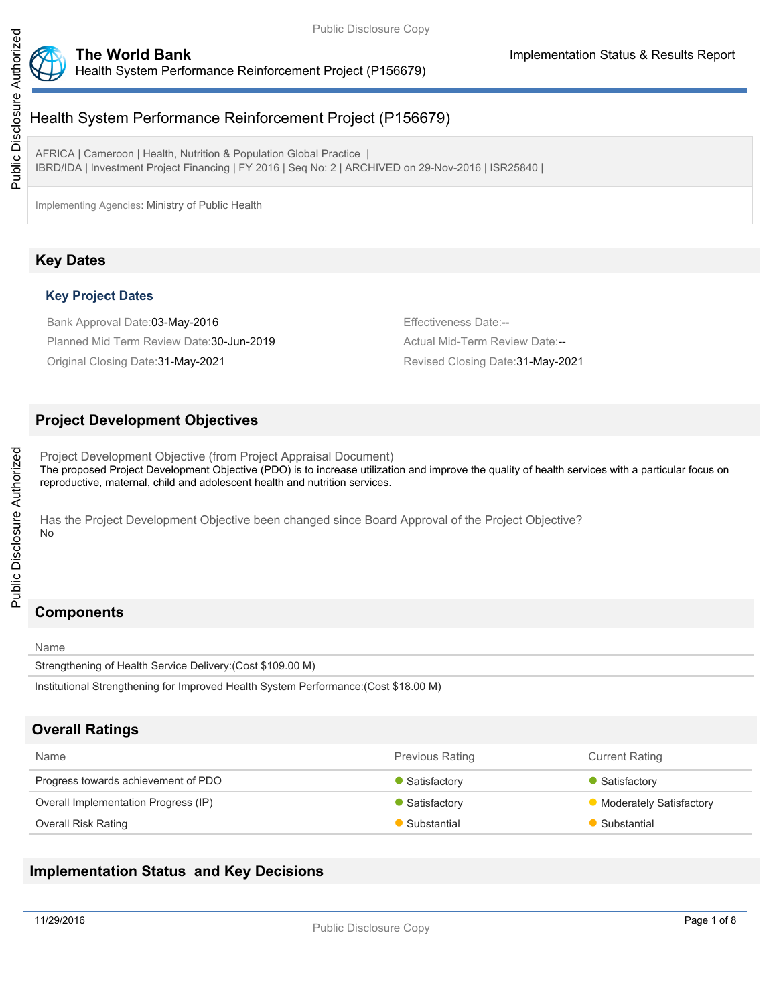



AFRICA | Cameroon | Health, Nutrition & Population Global Practice | IBRD/IDA | Investment Project Financing | FY 2016 | Seq No: 2 | ARCHIVED on 29-Nov-2016 | ISR25840 |

Implementing Agencies: Ministry of Public Health

## **Key Dates**

### **Key Project Dates**

Bank Approval Date:03-May-2016 **Effectiveness Date:--** Effectiveness Date:--Planned Mid Term Review Date: 30-Jun-2019 **Actual Mid-Term Review Date:--** Actual Mid-Term Review Date:

Original Closing Date:31-May-2021 Revised Closing Date:31-May-2021

## **Project Development Objectives**

Project Development Objective (from Project Appraisal Document) The proposed Project Development Objective (PDO) is to increase utilization and improve the quality of health services with a particular focus on reproductive, maternal, child and adolescent health and nutrition services.

Has the Project Development Objective been changed since Board Approval of the Project Objective? No

## **Components**

Name Strengthening of Health Service Delivery:(Cost \$109.00 M) Institutional Strengthening for Improved Health System Performance:(Cost \$18.00 M)

## **Overall Ratings**

| <b>Name</b>                          | <b>Previous Rating</b> | <b>Current Rating</b>          |
|--------------------------------------|------------------------|--------------------------------|
| Progress towards achievement of PDO  | Satisfactory           | Satisfactory                   |
| Overall Implementation Progress (IP) | Satisfactory           | <b>Moderately Satisfactory</b> |
| <b>Overall Risk Rating</b>           | Substantial            | Substantial                    |

## **Implementation Status and Key Decisions**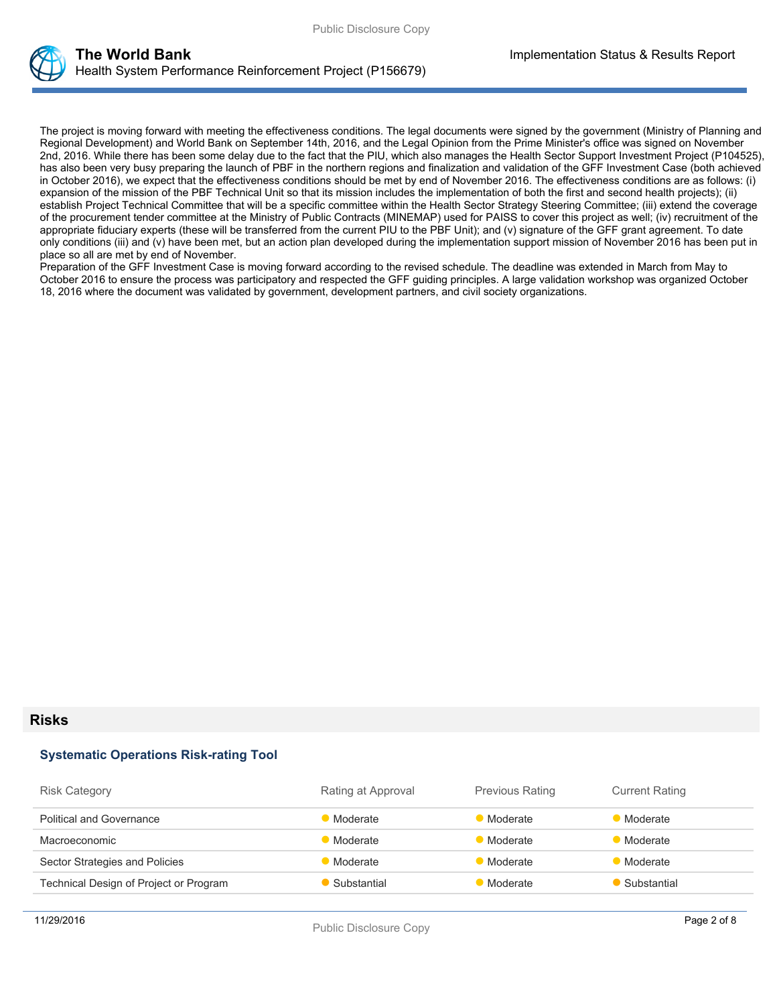

The project is moving forward with meeting the effectiveness conditions. The legal documents were signed by the government (Ministry of Planning and Regional Development) and World Bank on September 14th, 2016, and the Legal Opinion from the Prime Minister's office was signed on November 2nd, 2016. While there has been some delay due to the fact that the PIU, which also manages the Health Sector Support Investment Project (P104525), has also been very busy preparing the launch of PBF in the northern regions and finalization and validation of the GFF Investment Case (both achieved in October 2016), we expect that the effectiveness conditions should be met by end of November 2016. The effectiveness conditions are as follows: (i) expansion of the mission of the PBF Technical Unit so that its mission includes the implementation of both the first and second health projects); (ii) establish Project Technical Committee that will be a specific committee within the Health Sector Strategy Steering Committee; (iii) extend the coverage of the procurement tender committee at the Ministry of Public Contracts (MINEMAP) used for PAISS to cover this project as well; (iv) recruitment of the appropriate fiduciary experts (these will be transferred from the current PIU to the PBF Unit); and (v) signature of the GFF grant agreement. To date only conditions (iii) and (v) have been met, but an action plan developed during the implementation support mission of November 2016 has been put in place so all are met by end of November.

Preparation of the GFF Investment Case is moving forward according to the revised schedule. The deadline was extended in March from May to October 2016 to ensure the process was participatory and respected the GFF guiding principles. A large validation workshop was organized October 18, 2016 where the document was validated by government, development partners, and civil society organizations.

#### **Risks**

#### **Systematic Operations Risk-rating Tool**

| <b>Risk Category</b>                   | Rating at Approval | <b>Previous Rating</b> | <b>Current Rating</b> |
|----------------------------------------|--------------------|------------------------|-----------------------|
| <b>Political and Governance</b>        | Moderate           | Moderate               | Moderate              |
| Macroeconomic                          | Moderate           | <b>Moderate</b>        | Moderate              |
| Sector Strategies and Policies         | Moderate           | Moderate               | <b>Moderate</b>       |
| Technical Design of Project or Program | Substantial        | Moderate               | Substantial           |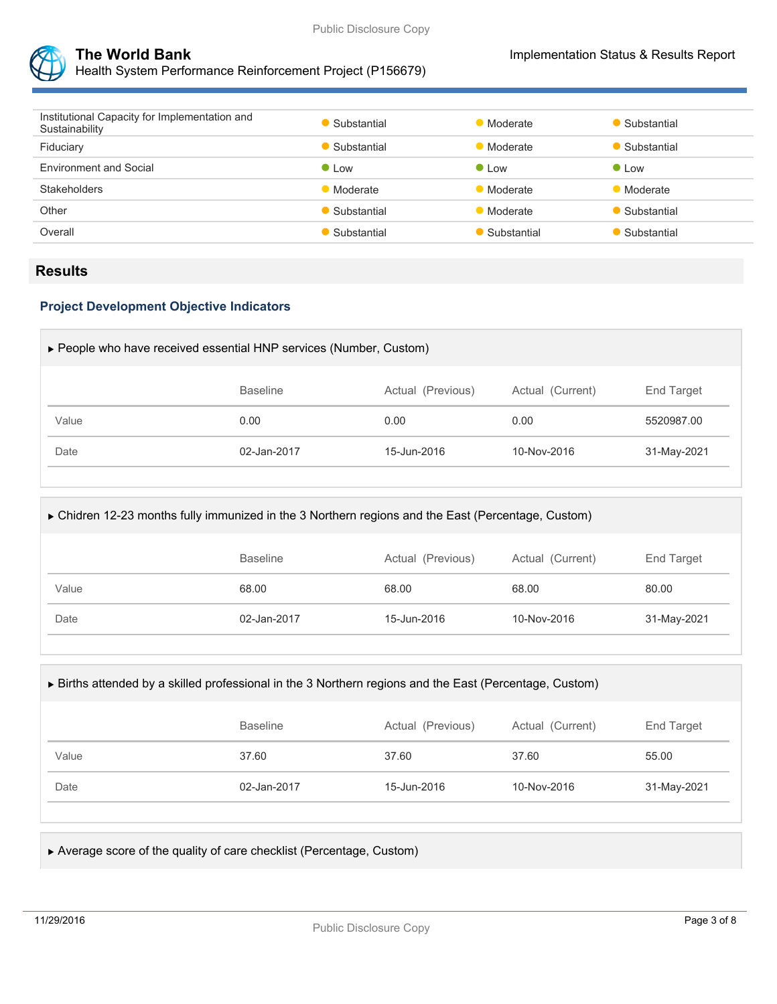



| Institutional Capacity for Implementation and<br>Sustainability | Substantial     | • Moderate      | Substantial   |
|-----------------------------------------------------------------|-----------------|-----------------|---------------|
| Fiduciary                                                       | • Substantial   | <b>Moderate</b> | Substantial   |
| <b>Environment and Social</b>                                   | $\bullet$ Low   | $\bullet$ Low   | $\bullet$ Low |
| <b>Stakeholders</b>                                             | <b>Moderate</b> | • Moderate      | Moderate      |
| Other                                                           | • Substantial   | • Moderate      | Substantial   |
| Overall                                                         | • Substantial   | Substantial     | Substantial   |
|                                                                 |                 |                 |               |

### **Results**

#### **Project Development Objective Indicators**

| $\triangleright$ People who have received essential HNP services (Number, Custom) |                 |                   |                  |                   |  |  |
|-----------------------------------------------------------------------------------|-----------------|-------------------|------------------|-------------------|--|--|
|                                                                                   | <b>Baseline</b> | Actual (Previous) | Actual (Current) | <b>End Target</b> |  |  |
| Value                                                                             | 0.00            | 0.00              | 0.00             | 5520987.00        |  |  |
| Date                                                                              | 02-Jan-2017     | 15-Jun-2016       | 10-Nov-2016      | 31-May-2021       |  |  |
|                                                                                   |                 |                   |                  |                   |  |  |

| ► Chidren 12-23 months fully immunized in the 3 Northern regions and the East (Percentage, Custom) |                 |                   |                  |             |  |
|----------------------------------------------------------------------------------------------------|-----------------|-------------------|------------------|-------------|--|
|                                                                                                    | <b>Baseline</b> | Actual (Previous) | Actual (Current) | End Target  |  |
| Value                                                                                              | 68.00           | 68.00             | 68.00            | 80.00       |  |
| Date                                                                                               | 02-Jan-2017     | 15-Jun-2016       | 10-Nov-2016      | 31-May-2021 |  |
|                                                                                                    |                 |                   |                  |             |  |

#### Births attended by a skilled professional in the 3 Northern regions and the East (Percentage, Custom)

|       | <b>Baseline</b> | Actual (Previous) | Actual (Current) | End Target  |
|-------|-----------------|-------------------|------------------|-------------|
| Value | 37.60           | 37.60             | 37.60            | 55.00       |
| Date  | 02-Jan-2017     | 15-Jun-2016       | 10-Nov-2016      | 31-May-2021 |

#### Average score of the quality of care checklist (Percentage, Custom)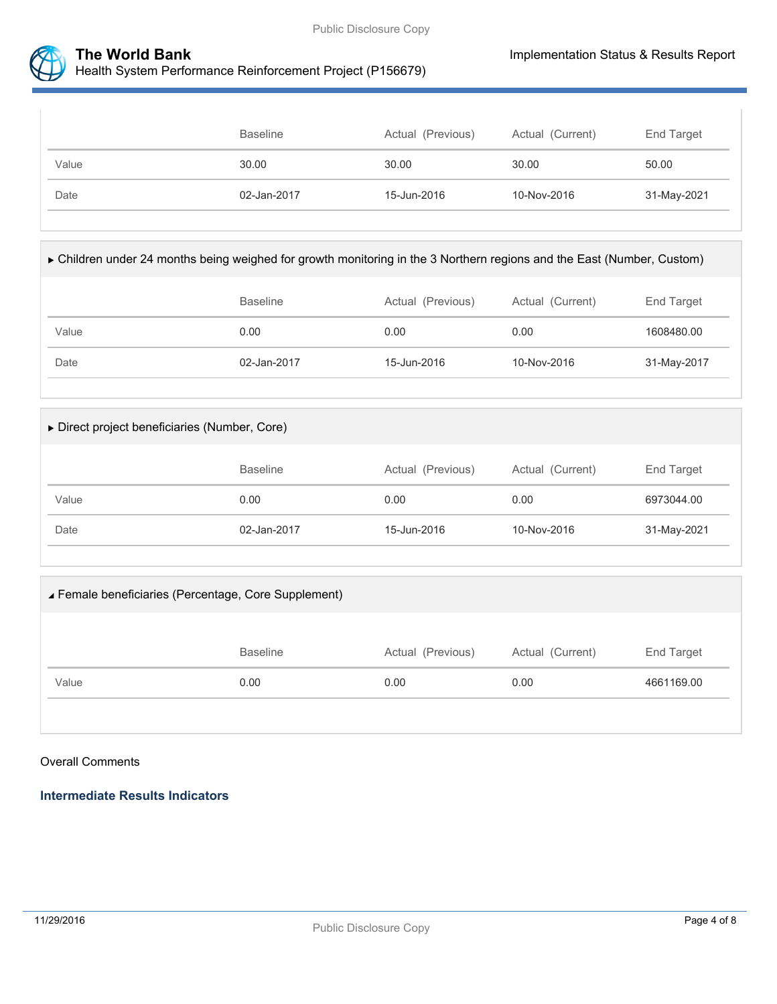



|       | <b>Baseline</b> | Actual (Previous) | Actual (Current) | End Target  |
|-------|-----------------|-------------------|------------------|-------------|
| Value | 30.00           | 30.00             | 30.00            | 50.00       |
| Date  | 02-Jan-2017     | 15-Jun-2016       | 10-Nov-2016      | 31-May-2021 |

| ► Children under 24 months being weighed for growth monitoring in the 3 Northern regions and the East (Number, Custom) |  |  |  |  |
|------------------------------------------------------------------------------------------------------------------------|--|--|--|--|
|------------------------------------------------------------------------------------------------------------------------|--|--|--|--|

|       | <b>Baseline</b> | Actual (Previous) | Actual (Current) | End Target  |
|-------|-----------------|-------------------|------------------|-------------|
| Value | 0.00            | 0.00              | 0.00             | 1608480.00  |
| Date  | 02-Jan-2017     | 15-Jun-2016       | 10-Nov-2016      | 31-May-2017 |

| Direct project beneficiaries (Number, Core) |  |
|---------------------------------------------|--|
|---------------------------------------------|--|

|       | <b>Baseline</b> | Actual (Previous) | Actual (Current) | End Target  |
|-------|-----------------|-------------------|------------------|-------------|
| Value | 0.00            | 0.00              | 0.00             | 6973044.00  |
| Date  | 02-Jan-2017     | 15-Jun-2016       | 10-Nov-2016      | 31-May-2021 |

# Female beneficiaries (Percentage, Core Supplement)

|       | <b>Baseline</b> | Actual (Previous) | Actual (Current) | End Target |
|-------|-----------------|-------------------|------------------|------------|
| Value | 0.00            | 0.00              | 0.00             | 4661169.00 |
|       |                 |                   |                  |            |

### Overall Comments

**Intermediate Results Indicators**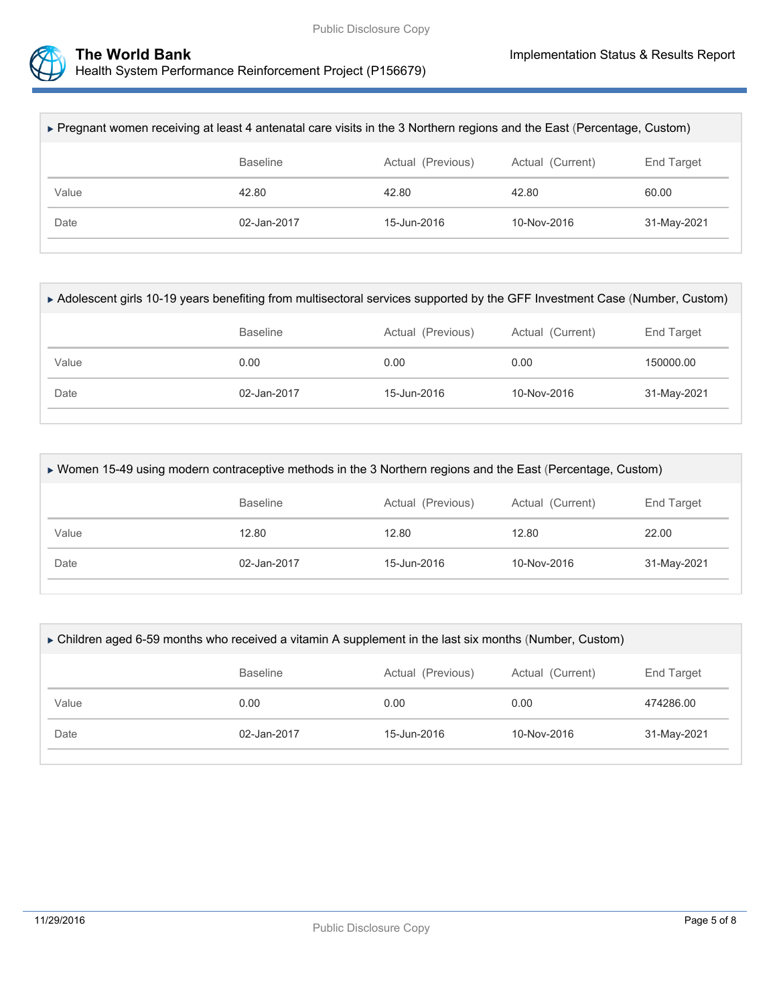

| ► Pregnant women receiving at least 4 antenatal care visits in the 3 Northern regions and the East (Percentage, Custom) |             |             |               |             |  |  |
|-------------------------------------------------------------------------------------------------------------------------|-------------|-------------|---------------|-------------|--|--|
|                                                                                                                         | End Target  |             |               |             |  |  |
| Value                                                                                                                   | 42.80       | 42.80       | 42.80         | 60.00       |  |  |
| Date                                                                                                                    | 02-Jan-2017 |             | $10-Nov-2016$ | 31-May-2021 |  |  |
|                                                                                                                         |             | 15-Jun-2016 |               |             |  |  |

| ► Adolescent girls 10-19 years benefiting from multisectoral services supported by the GFF Investment Case (Number, Custom) |                 |                   |                  |                   |  |
|-----------------------------------------------------------------------------------------------------------------------------|-----------------|-------------------|------------------|-------------------|--|
|                                                                                                                             | <b>Baseline</b> | Actual (Previous) | Actual (Current) | <b>End Target</b> |  |
| Value                                                                                                                       | 0.00            | 0.00              | 0.00             | 150000.00         |  |
| Date                                                                                                                        | 02-Jan-2017     |                   | 10-Nov-2016      | 31-May-2021       |  |
|                                                                                                                             |                 |                   |                  |                   |  |

| ► Women 15-49 using modern contraceptive methods in the 3 Northern regions and the East (Percentage, Custom) |                                                                        |       |                 |             |  |  |
|--------------------------------------------------------------------------------------------------------------|------------------------------------------------------------------------|-------|-----------------|-------------|--|--|
|                                                                                                              | <b>Baseline</b><br>Actual (Current)<br>Actual (Previous)<br>End Target |       |                 |             |  |  |
| Value                                                                                                        | 12.80                                                                  | 12.80 | 12.80           | 22.00       |  |  |
| Date                                                                                                         | 02-Jan-2017                                                            |       | $10 - Nov-2016$ | 31-May-2021 |  |  |
|                                                                                                              |                                                                        |       |                 |             |  |  |

| ► Children aged 6-59 months who received a vitamin A supplement in the last six months (Number, Custom) |             |             |             |             |  |  |
|---------------------------------------------------------------------------------------------------------|-------------|-------------|-------------|-------------|--|--|
| <b>Baseline</b><br>Actual (Current)<br>End Target<br>Actual (Previous)                                  |             |             |             |             |  |  |
| Value                                                                                                   | 0.00        | 0.00        | 0.00        | 474286.00   |  |  |
| Date                                                                                                    | 02-Jan-2017 | 15-Jun-2016 | 10-Nov-2016 | 31-May-2021 |  |  |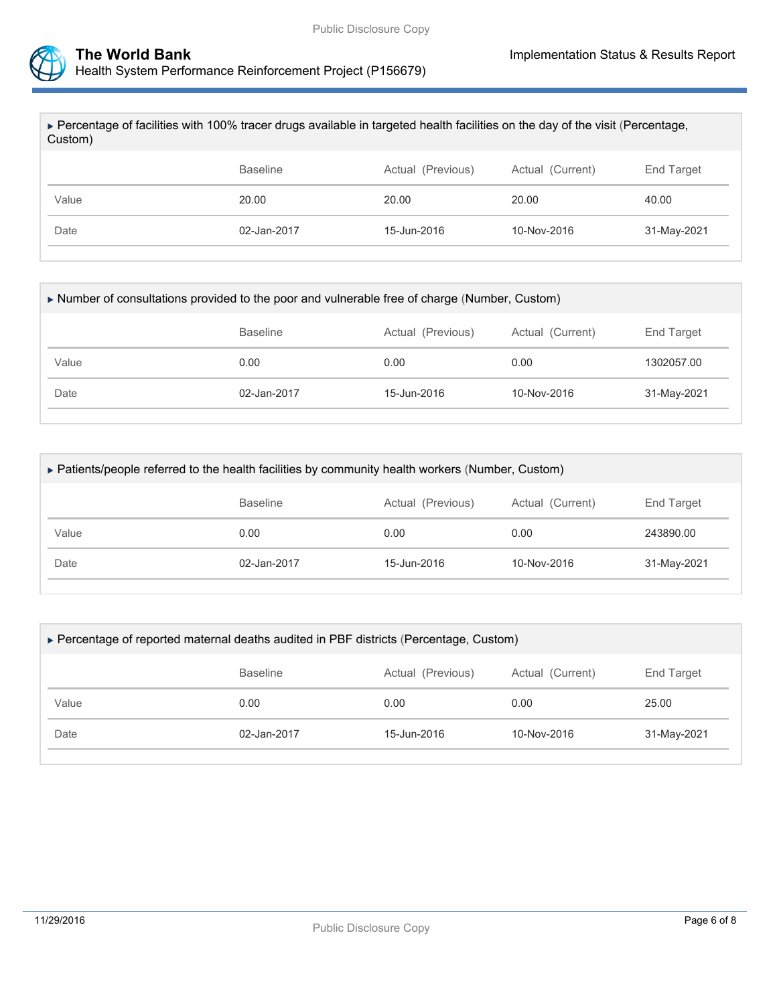

| ► Percentage of facilities with 100% tracer drugs available in targeted health facilities on the day of the visit (Percentage,<br>Custom) |                            |                   |                  |             |  |  |
|-------------------------------------------------------------------------------------------------------------------------------------------|----------------------------|-------------------|------------------|-------------|--|--|
|                                                                                                                                           | <b>Baseline</b>            | Actual (Previous) | Actual (Current) | End Target  |  |  |
| Value                                                                                                                                     | 20.00                      | 20.00             | 20.00            | 40.00       |  |  |
| Date                                                                                                                                      | 02-Jan-2017<br>15-Jun-2016 |                   | $10-Nov-2016$    | 31-May-2021 |  |  |
|                                                                                                                                           |                            |                   |                  |             |  |  |

|                                                                        | Number of consultations provided to the poor and vulnerable free of charge (Number, Custom) |             |             |  |  |  |  |
|------------------------------------------------------------------------|---------------------------------------------------------------------------------------------|-------------|-------------|--|--|--|--|
| <b>Baseline</b><br>Actual (Current)<br>End Target<br>Actual (Previous) |                                                                                             |             |             |  |  |  |  |
| 0.00                                                                   | 0.00                                                                                        | 0.00        | 1302057.00  |  |  |  |  |
| 02-Jan-2017                                                            | 15-Jun-2016                                                                                 | 10-Nov-2016 | 31-May-2021 |  |  |  |  |
|                                                                        |                                                                                             |             |             |  |  |  |  |

| ► Patients/people referred to the health facilities by community health workers (Number, Custom) |             |             |             |             |  |  |
|--------------------------------------------------------------------------------------------------|-------------|-------------|-------------|-------------|--|--|
| Actual (Previous)<br>Actual (Current)<br>End Target<br><b>Baseline</b>                           |             |             |             |             |  |  |
| Value                                                                                            | 0.00        | 0.00        | 0.00        | 243890.00   |  |  |
| Date                                                                                             | 02-Jan-2017 | 15-Jun-2016 | 10-Nov-2016 | 31-May-2021 |  |  |

|                                                                        |             |             | ▶ Percentage of reported maternal deaths audited in PBF districts (Percentage, Custom) |             |  |  |  |  |  |
|------------------------------------------------------------------------|-------------|-------------|----------------------------------------------------------------------------------------|-------------|--|--|--|--|--|
| Actual (Previous)<br><b>Baseline</b><br>Actual (Current)<br>End Target |             |             |                                                                                        |             |  |  |  |  |  |
| Value                                                                  | 0.00        | 0.00        | 0.00                                                                                   | 25.00       |  |  |  |  |  |
| Date                                                                   | 02-Jan-2017 | 15-Jun-2016 | 10-Nov-2016                                                                            | 31-May-2021 |  |  |  |  |  |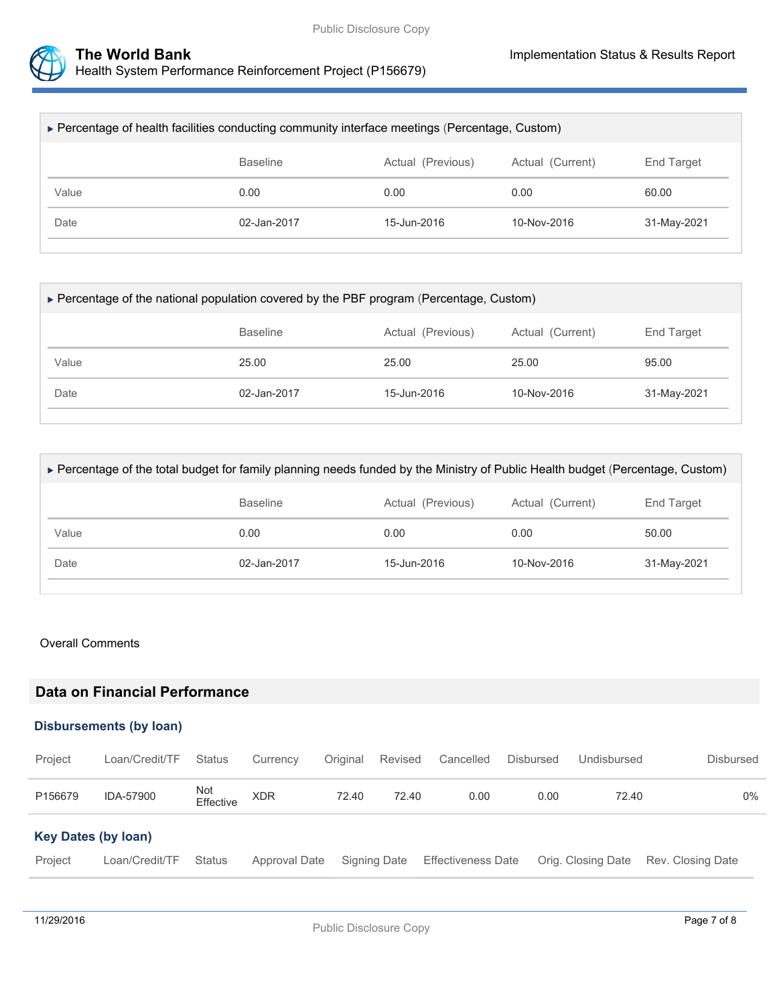

| ▶ Percentage of health facilities conducting community interface meetings (Percentage, Custom) |             |             |             |             |  |  |
|------------------------------------------------------------------------------------------------|-------------|-------------|-------------|-------------|--|--|
| Actual (Previous)<br>Actual (Current)<br><b>Baseline</b><br>End Target                         |             |             |             |             |  |  |
| Value                                                                                          | 0.00        | 0.00        | 0.00        | 60.00       |  |  |
| Date                                                                                           | 02-Jan-2017 | 15-Jun-2016 | 10-Nov-2016 | 31-May-2021 |  |  |

| ► Percentage of the national population covered by the PBF program (Percentage, Custom) |             |             |             |             |  |  |  |
|-----------------------------------------------------------------------------------------|-------------|-------------|-------------|-------------|--|--|--|
| Actual (Current)<br>Actual (Previous)<br><b>Baseline</b><br>End Target                  |             |             |             |             |  |  |  |
| Value                                                                                   | 25.00       | 25.00       | 25.00       | 95.00       |  |  |  |
| Date                                                                                    | 02-Jan-2017 | 15-Jun-2016 | 10-Nov-2016 | 31-May-2021 |  |  |  |
|                                                                                         |             |             |             |             |  |  |  |

| ► Percentage of the total budget for family planning needs funded by the Ministry of Public Health budget (Percentage, Custom) |                 |                   |                  |             |  |  |
|--------------------------------------------------------------------------------------------------------------------------------|-----------------|-------------------|------------------|-------------|--|--|
|                                                                                                                                | <b>Baseline</b> | Actual (Previous) | Actual (Current) | End Target  |  |  |
| Value                                                                                                                          | 0.00            | 0.00              | 0.00             | 50.00       |  |  |
| Date                                                                                                                           | 02-Jan-2017     |                   | $10-Nov-2016$    | 31-May-2021 |  |  |
|                                                                                                                                |                 |                   |                  |             |  |  |

#### Overall Comments

## **Data on Financial Performance**

#### **Disbursements (by loan)**

| Project                    | Loan/Credit/TF | Status           | Currency      | Original | Revised      | Cancelled                 | <b>Disbursed</b> | Undisbursed        | <b>Disbursed</b>  |
|----------------------------|----------------|------------------|---------------|----------|--------------|---------------------------|------------------|--------------------|-------------------|
| P156679                    | IDA-57900      | Not<br>Effective | <b>XDR</b>    | 72.40    | 72.40        | 0.00                      | 0.00             | 72.40              | 0%                |
| <b>Key Dates (by loan)</b> |                |                  |               |          |              |                           |                  |                    |                   |
| Project                    | Loan/Credit/TF | Status           | Approval Date |          | Signing Date | <b>Effectiveness Date</b> |                  | Orig. Closing Date | Rev. Closing Date |